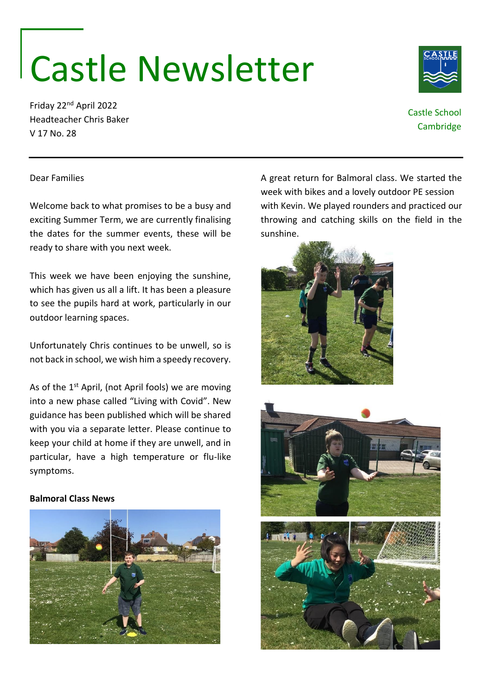# Castle Newsletter

Friday 22nd April 2022 Headteacher Chris Baker V 17 No. 28

# Castle School **Cambridge**

#### Dear Families

Welcome back to what promises to be a busy and exciting Summer Term, we are currently finalising the dates for the summer events, these will be ready to share with you next week.

This week we have been enjoying the sunshine, which has given us all a lift. It has been a pleasure to see the pupils hard at work, particularly in our outdoor learning spaces.

Unfortunately Chris continues to be unwell, so is not back in school, we wish him a speedy recovery.

As of the 1<sup>st</sup> April, (not April fools) we are moving into a new phase called "Living with Covid". New guidance has been published which will be shared with you via a separate letter. Please continue to keep your child at home if they are unwell, and in particular, have a high temperature or flu-like symptoms.

#### **Balmoral Class News**



A great return for Balmoral class. We started the week with bikes and a lovely outdoor PE session with Kevin. We played rounders and practiced our throwing and catching skills on the field in the sunshine.